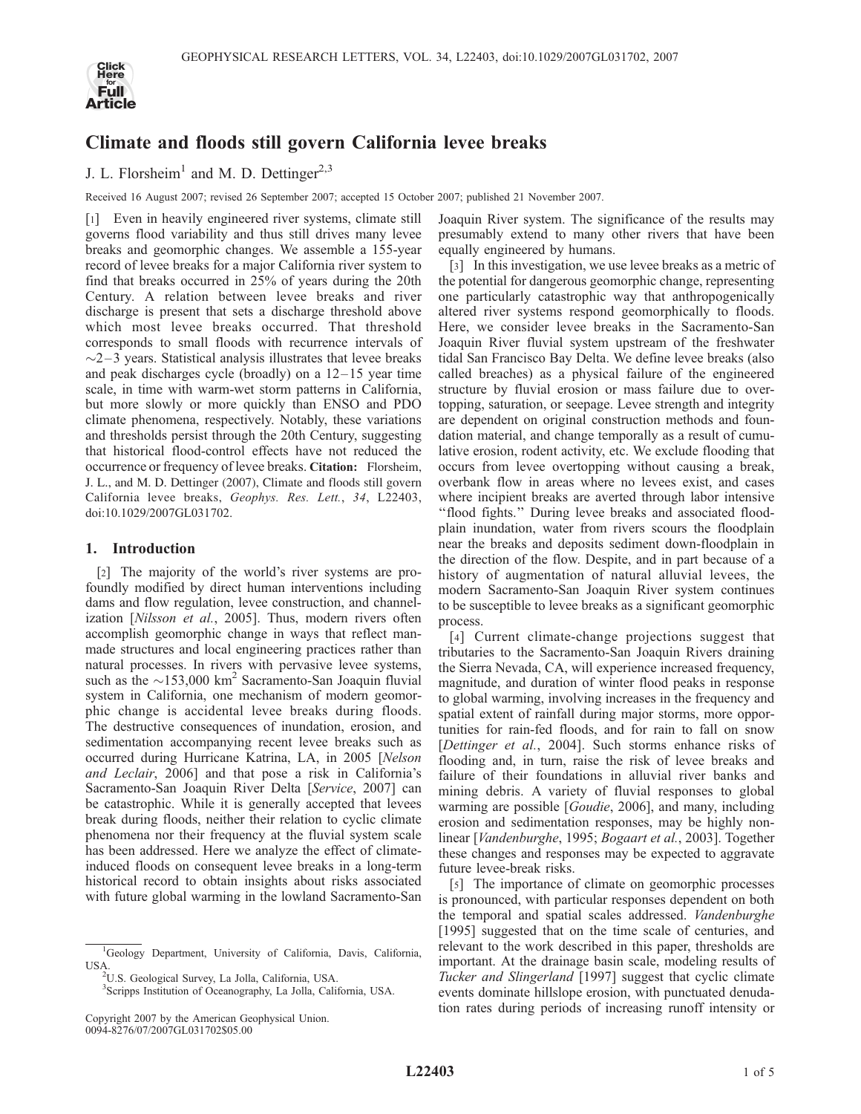

# Climate and floods still govern California levee breaks

J. L. Florsheim<sup>1</sup> and M. D. Dettinger<sup>2,3</sup>

Received 16 August 2007; revised 26 September 2007; accepted 15 October 2007; published 21 November 2007.

[1] Even in heavily engineered river systems, climate still governs flood variability and thus still drives many levee breaks and geomorphic changes. We assemble a 155-year record of levee breaks for a major California river system to find that breaks occurred in 25% of years during the 20th Century. A relation between levee breaks and river discharge is present that sets a discharge threshold above which most levee breaks occurred. That threshold corresponds to small floods with recurrence intervals of  $\sim$ 2–3 years. Statistical analysis illustrates that levee breaks and peak discharges cycle (broadly) on a  $12-15$  year time scale, in time with warm-wet storm patterns in California, but more slowly or more quickly than ENSO and PDO climate phenomena, respectively. Notably, these variations and thresholds persist through the 20th Century, suggesting that historical flood-control effects have not reduced the occurrence or frequency of levee breaks. Citation: Florsheim, J. L., and M. D. Dettinger (2007), Climate and floods still govern California levee breaks, Geophys. Res. Lett., 34, L22403, doi:10.1029/2007GL031702.

## 1. Introduction

[2] The majority of the world's river systems are profoundly modified by direct human interventions including dams and flow regulation, levee construction, and channelization [Nilsson et al., 2005]. Thus, modern rivers often accomplish geomorphic change in ways that reflect manmade structures and local engineering practices rather than natural processes. In rivers with pervasive levee systems, such as the  $\sim$ 153,000 km<sup>2</sup> Sacramento-San Joaquin fluvial system in California, one mechanism of modern geomorphic change is accidental levee breaks during floods. The destructive consequences of inundation, erosion, and sedimentation accompanying recent levee breaks such as occurred during Hurricane Katrina, LA, in 2005 [Nelson and Leclair, 2006] and that pose a risk in California's Sacramento-San Joaquin River Delta [Service, 2007] can be catastrophic. While it is generally accepted that levees break during floods, neither their relation to cyclic climate phenomena nor their frequency at the fluvial system scale has been addressed. Here we analyze the effect of climateinduced floods on consequent levee breaks in a long-term historical record to obtain insights about risks associated with future global warming in the lowland Sacramento-San

<sup>1</sup>Geology Department, University of California, Davis, California, USA.

3 Scripps Institution of Oceanography, La Jolla, California, USA.

Copyright 2007 by the American Geophysical Union. 0094-8276/07/2007GL031702\$05.00

Joaquin River system. The significance of the results may presumably extend to many other rivers that have been equally engineered by humans.

[3] In this investigation, we use levee breaks as a metric of the potential for dangerous geomorphic change, representing one particularly catastrophic way that anthropogenically altered river systems respond geomorphically to floods. Here, we consider levee breaks in the Sacramento-San Joaquin River fluvial system upstream of the freshwater tidal San Francisco Bay Delta. We define levee breaks (also called breaches) as a physical failure of the engineered structure by fluvial erosion or mass failure due to overtopping, saturation, or seepage. Levee strength and integrity are dependent on original construction methods and foundation material, and change temporally as a result of cumulative erosion, rodent activity, etc. We exclude flooding that occurs from levee overtopping without causing a break, overbank flow in areas where no levees exist, and cases where incipient breaks are averted through labor intensive ''flood fights.'' During levee breaks and associated floodplain inundation, water from rivers scours the floodplain near the breaks and deposits sediment down-floodplain in the direction of the flow. Despite, and in part because of a history of augmentation of natural alluvial levees, the modern Sacramento-San Joaquin River system continues to be susceptible to levee breaks as a significant geomorphic process.

[4] Current climate-change projections suggest that tributaries to the Sacramento-San Joaquin Rivers draining the Sierra Nevada, CA, will experience increased frequency, magnitude, and duration of winter flood peaks in response to global warming, involving increases in the frequency and spatial extent of rainfall during major storms, more opportunities for rain-fed floods, and for rain to fall on snow [Dettinger et al., 2004]. Such storms enhance risks of flooding and, in turn, raise the risk of levee breaks and failure of their foundations in alluvial river banks and mining debris. A variety of fluvial responses to global warming are possible [Goudie, 2006], and many, including erosion and sedimentation responses, may be highly nonlinear [Vandenburghe, 1995; Bogaart et al., 2003]. Together these changes and responses may be expected to aggravate future levee-break risks.

[5] The importance of climate on geomorphic processes is pronounced, with particular responses dependent on both the temporal and spatial scales addressed. Vandenburghe [1995] suggested that on the time scale of centuries, and relevant to the work described in this paper, thresholds are important. At the drainage basin scale, modeling results of Tucker and Slingerland [1997] suggest that cyclic climate events dominate hillslope erosion, with punctuated denudation rates during periods of increasing runoff intensity or

U.S. Geological Survey, La Jolla, California, USA.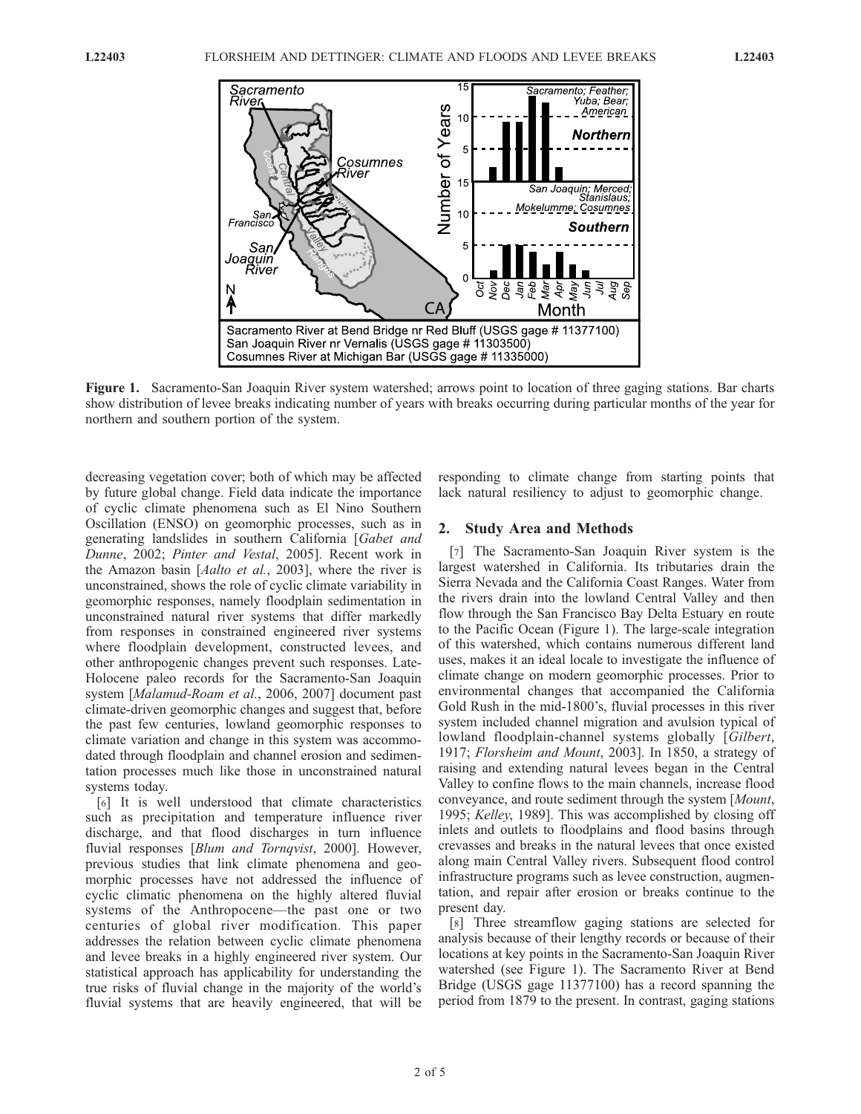

Figure 1. Sacramento-San Joaquin River system watershed; arrows point to location of three gaging stations. Bar charts show distribution of levee breaks indicating number of years with breaks occurring during particular months of the year for northern and southern portion of the system.

decreasing vegetation cover; both of which may be affected by future global change. Field data indicate the importance of cyclic climate phenomena such as El Nino Southern Oscillation (ENSO) on geomorphic processes, such as in generating landslides in southern California [Gabet and Dunne, 2002; Pinter and Vestal, 2005]. Recent work in the Amazon basin [Aalto et al., 2003], where the river is unconstrained, shows the role of cyclic climate variability in geomorphic responses, namely floodplain sedimentation in unconstrained natural river systems that differ markedly from responses in constrained engineered river systems where floodplain development, constructed levees, and other anthropogenic changes prevent such responses. Late-Holocene paleo records for the Sacramento-San Joaquin system [Malamud-Roam et al., 2006, 2007] document past climate-driven geomorphic changes and suggest that, before the past few centuries, lowland geomorphic responses to climate variation and change in this system was accommodated through floodplain and channel erosion and sedimentation processes much like those in unconstrained natural systems today.

[6] It is well understood that climate characteristics such as precipitation and temperature influence river discharge, and that flood discharges in turn influence fluvial responses [Blum and Tornqvist, 2000]. However, previous studies that link climate phenomena and geomorphic processes have not addressed the influence of cyclic climatic phenomena on the highly altered fluvial systems of the Anthropocene—the past one or two centuries of global river modification. This paper addresses the relation between cyclic climate phenomena and levee breaks in a highly engineered river system. Our statistical approach has applicability for understanding the true risks of fluvial change in the majority of the world's fluvial systems that are heavily engineered, that will be

responding to climate change from starting points that lack natural resiliency to adjust to geomorphic change.

#### 2. Study Area and Methods

[7] The Sacramento-San Joaquin River system is the largest watershed in California. Its tributaries drain the Sierra Nevada and the California Coast Ranges. Water from the rivers drain into the lowland Central Valley and then flow through the San Francisco Bay Delta Estuary en route to the Pacific Ocean (Figure 1). The large-scale integration of this watershed, which contains numerous different land uses, makes it an ideal locale to investigate the influence of climate change on modern geomorphic processes. Prior to environmental changes that accompanied the California Gold Rush in the mid-1800's, fluvial processes in this river system included channel migration and avulsion typical of lowland floodplain-channel systems globally [Gilbert, 1917; Florsheim and Mount, 2003]. In 1850, a strategy of raising and extending natural levees began in the Central Valley to confine flows to the main channels, increase flood conveyance, and route sediment through the system [Mount, 1995; Kelley, 1989]. This was accomplished by closing off inlets and outlets to floodplains and flood basins through crevasses and breaks in the natural levees that once existed along main Central Valley rivers. Subsequent flood control infrastructure programs such as levee construction, augmentation, and repair after erosion or breaks continue to the present day.

[8] Three streamflow gaging stations are selected for analysis because of their lengthy records or because of their locations at key points in the Sacramento-San Joaquin River watershed (see Figure 1). The Sacramento River at Bend Bridge (USGS gage 11377100) has a record spanning the period from 1879 to the present. In contrast, gaging stations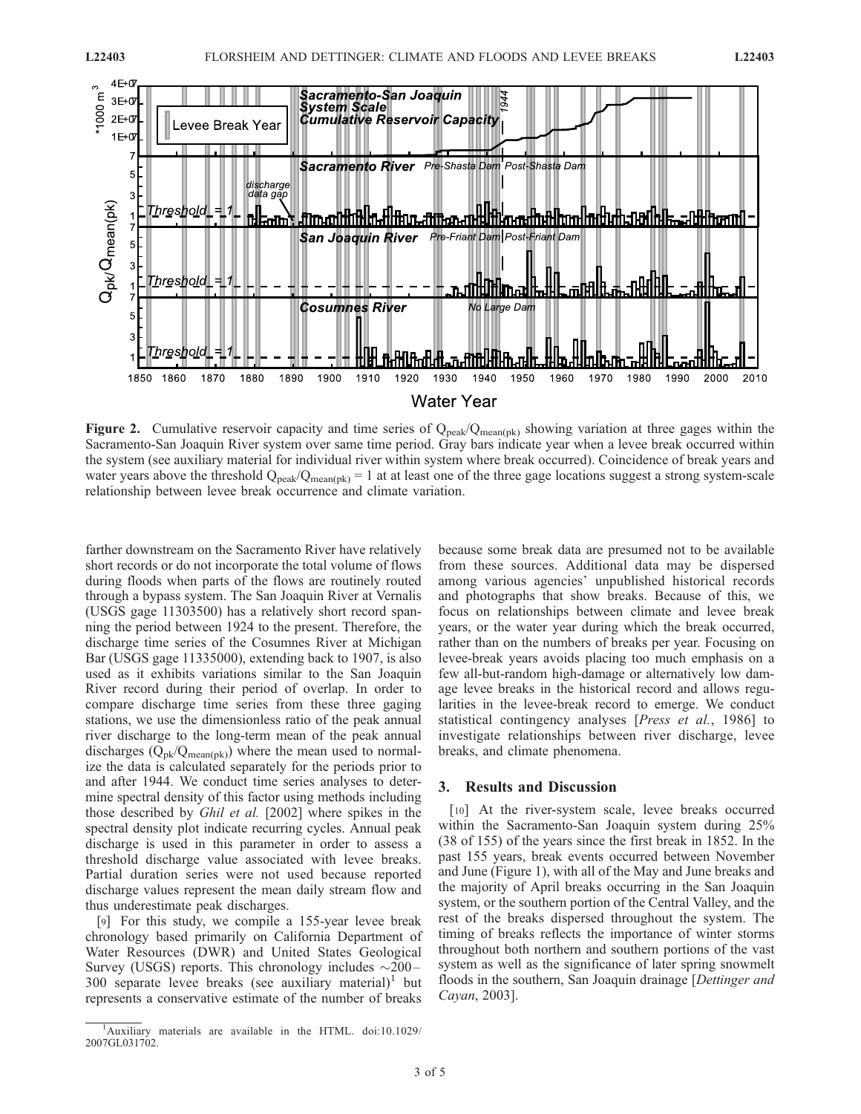

**Figure 2.** Cumulative reservoir capacity and time series of  $Q_{peak}/Q_{mean(pk)}$  showing variation at three gages within the Sacramento-San Joaquin River system over same time period. Gray bars indicate year when a levee break occurred within the system (see auxiliary material for individual river within system where break occurred). Coincidence of break years and water years above the threshold  $Q_{peak}/Q_{mean(pk)} = 1$  at at least one of the three gage locations suggest a strong system-scale relationship between levee break occurrence and climate variation.

farther downstream on the Sacramento River have relatively short records or do not incorporate the total volume of flows during floods when parts of the flows are routinely routed through a bypass system. The San Joaquin River at Vernalis (USGS gage 11303500) has a relatively short record spanning the period between 1924 to the present. Therefore, the discharge time series of the Cosumnes River at Michigan Bar (USGS gage 11335000), extending back to 1907, is also used as it exhibits variations similar to the San Joaquin River record during their period of overlap. In order to compare discharge time series from these three gaging stations, we use the dimensionless ratio of the peak annual river discharge to the long-term mean of the peak annual discharges  $(Q_{\text{pk}}/Q_{\text{mean}(p k)})$  where the mean used to normalize the data is calculated separately for the periods prior to and after 1944. We conduct time series analyses to determine spectral density of this factor using methods including those described by Ghil et al. [2002] where spikes in the spectral density plot indicate recurring cycles. Annual peak discharge is used in this parameter in order to assess a threshold discharge value associated with levee breaks. Partial duration series were not used because reported discharge values represent the mean daily stream flow and thus underestimate peak discharges.

[9] For this study, we compile a 155-year levee break chronology based primarily on California Department of Water Resources (DWR) and United States Geological Survey (USGS) reports. This chronology includes  $\sim 200 -$ 300 separate levee breaks (see auxiliary material)<sup>1</sup> but represents a conservative estimate of the number of breaks

because some break data are presumed not to be available from these sources. Additional data may be dispersed among various agencies' unpublished historical records and photographs that show breaks. Because of this, we focus on relationships between climate and levee break years, or the water year during which the break occurred, rather than on the numbers of breaks per year. Focusing on levee-break years avoids placing too much emphasis on a few all-but-random high-damage or alternatively low damage levee breaks in the historical record and allows regularities in the levee-break record to emerge. We conduct statistical contingency analyses [Press et al., 1986] to investigate relationships between river discharge, levee breaks, and climate phenomena.

## 3. Results and Discussion

[10] At the river-system scale, levee breaks occurred within the Sacramento-San Joaquin system during 25% (38 of 155) of the years since the first break in 1852. In the past 155 years, break events occurred between November and June (Figure 1), with all of the May and June breaks and the majority of April breaks occurring in the San Joaquin system, or the southern portion of the Central Valley, and the rest of the breaks dispersed throughout the system. The timing of breaks reflects the importance of winter storms throughout both northern and southern portions of the vast system as well as the significance of later spring snowmelt floods in the southern, San Joaquin drainage [Dettinger and Cayan, 2003].

<sup>&</sup>lt;sup>1</sup>Auxiliary materials are available in the HTML. doi:10.1029/ 2007GL031702.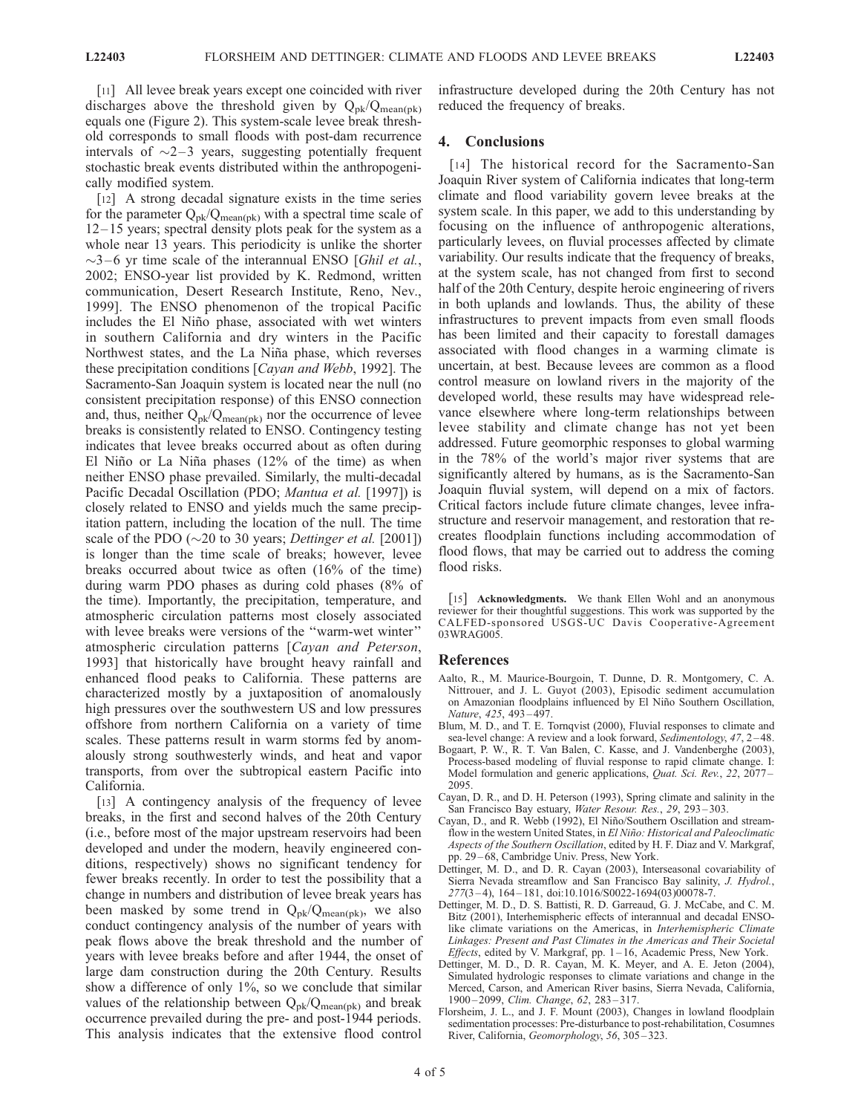[11] All levee break years except one coincided with river discharges above the threshold given by  $Q_{pk}/Q_{mean(pk)}$ equals one (Figure 2). This system-scale levee break threshold corresponds to small floods with post-dam recurrence intervals of  $\sim$ 2–3 years, suggesting potentially frequent stochastic break events distributed within the anthropogenically modified system.

[12] A strong decadal signature exists in the time series for the parameter  $Q_{\rm pk}/Q_{\rm mean(nk)}$  with a spectral time scale of  $12-15$  years; spectral density plots peak for the system as a whole near 13 years. This periodicity is unlike the shorter  $\sim$ 3–6 yr time scale of the interannual ENSO [*Ghil et al.*, 2002; ENSO-year list provided by K. Redmond, written communication, Desert Research Institute, Reno, Nev., 1999]. The ENSO phenomenon of the tropical Pacific includes the El Niño phase, associated with wet winters in southern California and dry winters in the Pacific Northwest states, and the La Niña phase, which reverses these precipitation conditions [Cayan and Webb, 1992]. The Sacramento-San Joaquin system is located near the null (no consistent precipitation response) of this ENSO connection and, thus, neither  $Q_{pk}/Q_{mean(pk)}$  nor the occurrence of levee breaks is consistently related to ENSO. Contingency testing indicates that levee breaks occurred about as often during El Niño or La Niña phases (12% of the time) as when neither ENSO phase prevailed. Similarly, the multi-decadal Pacific Decadal Oscillation (PDO; Mantua et al. [1997]) is closely related to ENSO and yields much the same precipitation pattern, including the location of the null. The time scale of the PDO ( $\sim$ 20 to 30 years; *Dettinger et al.* [2001]) is longer than the time scale of breaks; however, levee breaks occurred about twice as often (16% of the time) during warm PDO phases as during cold phases (8% of the time). Importantly, the precipitation, temperature, and atmospheric circulation patterns most closely associated with levee breaks were versions of the ''warm-wet winter'' atmospheric circulation patterns [Cayan and Peterson, 1993] that historically have brought heavy rainfall and enhanced flood peaks to California. These patterns are characterized mostly by a juxtaposition of anomalously high pressures over the southwestern US and low pressures offshore from northern California on a variety of time scales. These patterns result in warm storms fed by anomalously strong southwesterly winds, and heat and vapor transports, from over the subtropical eastern Pacific into California.

[13] A contingency analysis of the frequency of levee breaks, in the first and second halves of the 20th Century (i.e., before most of the major upstream reservoirs had been developed and under the modern, heavily engineered conditions, respectively) shows no significant tendency for fewer breaks recently. In order to test the possibility that a change in numbers and distribution of levee break years has been masked by some trend in  $Q_{pk}/Q_{mean(pk)}$ , we also conduct contingency analysis of the number of years with peak flows above the break threshold and the number of years with levee breaks before and after 1944, the onset of large dam construction during the 20th Century. Results show a difference of only 1%, so we conclude that similar values of the relationship between  $Q_{pk}/Q_{mean(pk)}$  and break occurrence prevailed during the pre- and post-1944 periods. This analysis indicates that the extensive flood control

infrastructure developed during the 20th Century has not reduced the frequency of breaks.

### 4. Conclusions

[14] The historical record for the Sacramento-San Joaquin River system of California indicates that long-term climate and flood variability govern levee breaks at the system scale. In this paper, we add to this understanding by focusing on the influence of anthropogenic alterations, particularly levees, on fluvial processes affected by climate variability. Our results indicate that the frequency of breaks, at the system scale, has not changed from first to second half of the 20th Century, despite heroic engineering of rivers in both uplands and lowlands. Thus, the ability of these infrastructures to prevent impacts from even small floods has been limited and their capacity to forestall damages associated with flood changes in a warming climate is uncertain, at best. Because levees are common as a flood control measure on lowland rivers in the majority of the developed world, these results may have widespread relevance elsewhere where long-term relationships between levee stability and climate change has not yet been addressed. Future geomorphic responses to global warming in the 78% of the world's major river systems that are significantly altered by humans, as is the Sacramento-San Joaquin fluvial system, will depend on a mix of factors. Critical factors include future climate changes, levee infrastructure and reservoir management, and restoration that recreates floodplain functions including accommodation of flood flows, that may be carried out to address the coming flood risks.

[15] Acknowledgments. We thank Ellen Wohl and an anonymous reviewer for their thoughtful suggestions. This work was supported by the CALFED-sponsored USGS-UC Davis Cooperative-Agreement 03WRAG005.

#### References

- Aalto, R., M. Maurice-Bourgoin, T. Dunne, D. R. Montgomery, C. A. Nittrouer, and J. L. Guyot (2003), Episodic sediment accumulation on Amazonian floodplains influenced by El Niño Southern Oscillation, Nature, 425, 493-497.
- Blum, M. D., and T. E. Tornqvist (2000), Fluvial responses to climate and sea-level change: A review and a look forward, Sedimentology, 47, 2-48.
- Bogaart, P. W., R. T. Van Balen, C. Kasse, and J. Vandenberghe (2003), Process-based modeling of fluvial response to rapid climate change. I: Model formulation and generic applications, *Quat. Sci. Rev.*, 22, 2077 – 2095.
- Cayan, D. R., and D. H. Peterson (1993), Spring climate and salinity in the San Francisco Bay estuary, Water Resour. Res., 29, 293-303.
- Cayan, D., and R. Webb (1992), El Niño/Southern Oscillation and streamflow in the western United States, in El Niño: Historical and Paleoclimatic Aspects of the Southern Oscillation, edited by H. F. Diaz and V. Markgraf, pp. 29 – 68, Cambridge Univ. Press, New York.
- Dettinger, M. D., and D. R. Cayan (2003), Interseasonal covariability of Sierra Nevada streamflow and San Francisco Bay salinity, J. Hydrol., 277(3 – 4), 164 – 181, doi:10.1016/S0022-1694(03)00078-7.
- Dettinger, M. D., D. S. Battisti, R. D. Garreaud, G. J. McCabe, and C. M. Bitz (2001), Interhemispheric effects of interannual and decadal ENSOlike climate variations on the Americas, in Interhemispheric Climate Linkages: Present and Past Climates in the Americas and Their Societal *Effects*, edited by V. Markgraf, pp.  $1-16$ , Academic Press, New York.
- Dettinger, M. D., D. R. Cayan, M. K. Meyer, and A. E. Jeton (2004), Simulated hydrologic responses to climate variations and change in the Merced, Carson, and American River basins, Sierra Nevada, California, 1900 – 2099, Clim. Change, 62, 283 – 317.
- Florsheim, J. L., and J. F. Mount (2003), Changes in lowland floodplain sedimentation processes: Pre-disturbance to post-rehabilitation, Cosumnes River, California, Geomorphology, 56, 305 – 323.